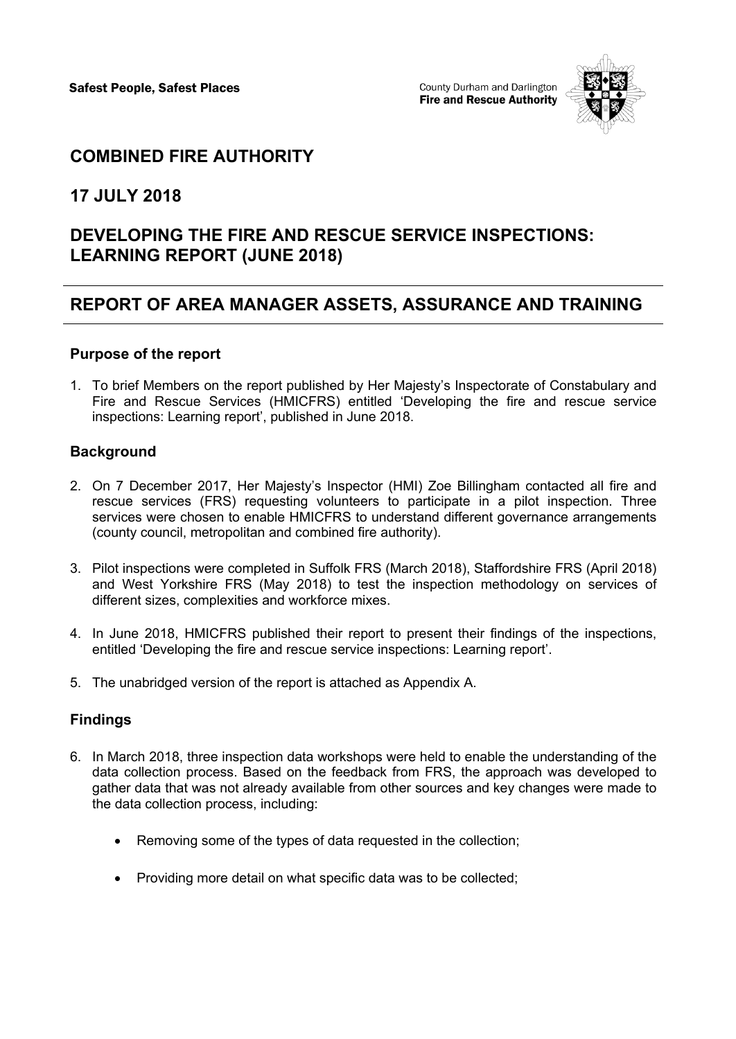

# **COMBINED FIRE AUTHORITY**

## **17 JULY 2018**

# **DEVELOPING THE FIRE AND RESCUE SERVICE INSPECTIONS: LEARNING REPORT (JUNE 2018)**

## **REPORT OF AREA MANAGER ASSETS, ASSURANCE AND TRAINING**

### **Purpose of the report**

1. To brief Members on the report published by Her Majesty's Inspectorate of Constabulary and Fire and Rescue Services (HMICFRS) entitled 'Developing the fire and rescue service inspections: Learning report', published in June 2018.

### **Background**

- 2. On 7 December 2017, Her Majesty's Inspector (HMI) Zoe Billingham contacted all fire and rescue services (FRS) requesting volunteers to participate in a pilot inspection. Three services were chosen to enable HMICFRS to understand different governance arrangements (county council, metropolitan and combined fire authority).
- 3. Pilot inspections were completed in Suffolk FRS (March 2018), Staffordshire FRS (April 2018) and West Yorkshire FRS (May 2018) to test the inspection methodology on services of different sizes, complexities and workforce mixes.
- 4. In June 2018, HMICFRS published their report to present their findings of the inspections, entitled 'Developing the fire and rescue service inspections: Learning report'.
- 5. The unabridged version of the report is attached as Appendix A.

### **Findings**

- 6. In March 2018, three inspection data workshops were held to enable the understanding of the data collection process. Based on the feedback from FRS, the approach was developed to gather data that was not already available from other sources and key changes were made to the data collection process, including:
	- Removing some of the types of data requested in the collection;
	- Providing more detail on what specific data was to be collected;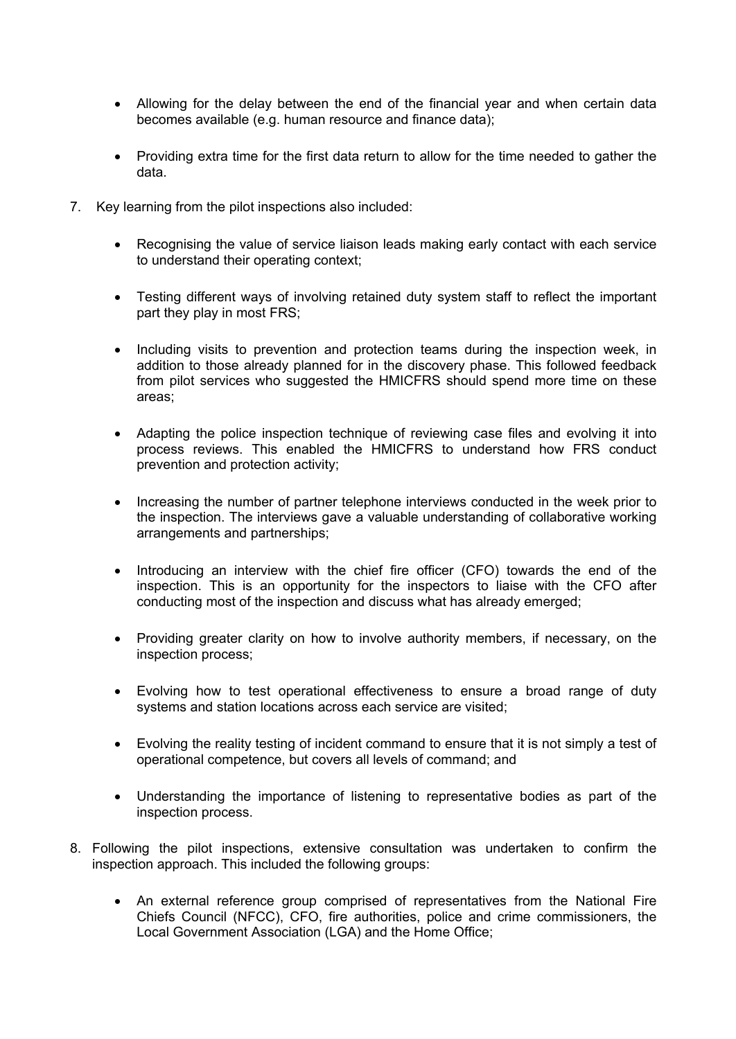- Allowing for the delay between the end of the financial year and when certain data becomes available (e.g. human resource and finance data);
- Providing extra time for the first data return to allow for the time needed to gather the data.
- 7. Key learning from the pilot inspections also included:
	- Recognising the value of service liaison leads making early contact with each service to understand their operating context;
	- Testing different ways of involving retained duty system staff to reflect the important part they play in most FRS;
	- Including visits to prevention and protection teams during the inspection week, in addition to those already planned for in the discovery phase. This followed feedback from pilot services who suggested the HMICFRS should spend more time on these areas;
	- Adapting the police inspection technique of reviewing case files and evolving it into process reviews. This enabled the HMICFRS to understand how FRS conduct prevention and protection activity;
	- Increasing the number of partner telephone interviews conducted in the week prior to the inspection. The interviews gave a valuable understanding of collaborative working arrangements and partnerships;
	- Introducing an interview with the chief fire officer (CFO) towards the end of the inspection. This is an opportunity for the inspectors to liaise with the CFO after conducting most of the inspection and discuss what has already emerged;
	- Providing greater clarity on how to involve authority members, if necessary, on the inspection process;
	- Evolving how to test operational effectiveness to ensure a broad range of duty systems and station locations across each service are visited;
	- Evolving the reality testing of incident command to ensure that it is not simply a test of operational competence, but covers all levels of command; and
	- Understanding the importance of listening to representative bodies as part of the inspection process.
- 8. Following the pilot inspections, extensive consultation was undertaken to confirm the inspection approach. This included the following groups:
	- An external reference group comprised of representatives from the National Fire Chiefs Council (NFCC), CFO, fire authorities, police and crime commissioners, the Local Government Association (LGA) and the Home Office;